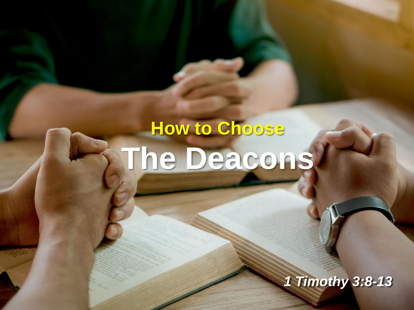# **How to Choose The Deacons**

*1 Timothy 3:8-13*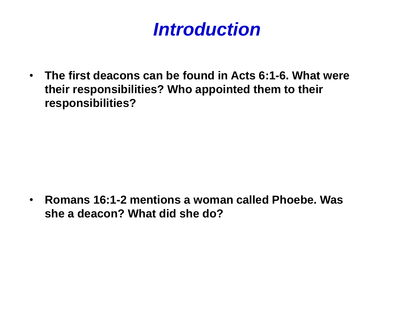# *Introduction*

• **The first deacons can be found in Acts 6:1-6. What were their responsibilities? Who appointed them to their responsibilities?**

• **Romans 16:1-2 mentions a woman called Phoebe. Was she a deacon? What did she do?**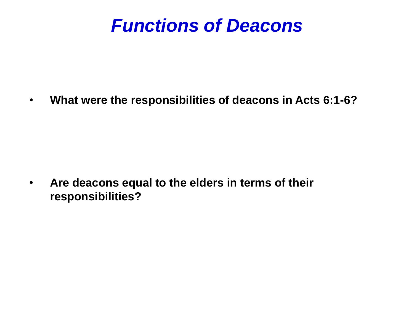#### *Functions of Deacons*

• **What were the responsibilities of deacons in Acts 6:1-6?**

• **Are deacons equal to the elders in terms of their responsibilities?**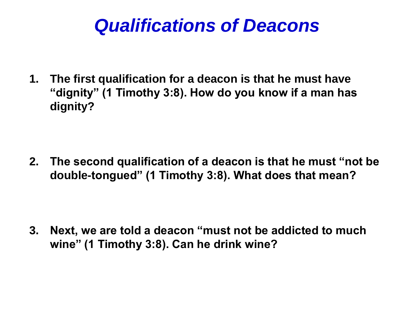#### *Qualifications of Deacons*

**1. The first qualification for a deacon is that he must have "dignity" (1 Timothy 3:8). How do you know if a man has dignity?** 

**2. The second qualification of a deacon is that he must "not be double-tongued" (1 Timothy 3:8). What does that mean?**

**3. Next, we are told a deacon "must not be addicted to much wine" (1 Timothy 3:8). Can he drink wine?**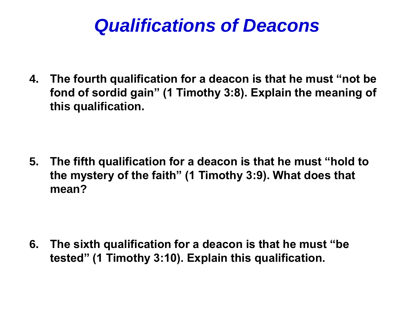#### *Qualifications of Deacons*

**4. The fourth qualification for a deacon is that he must "not be fond of sordid gain" (1 Timothy 3:8). Explain the meaning of this qualification.**

**5. The fifth qualification for a deacon is that he must "hold to the mystery of the faith" (1 Timothy 3:9). What does that mean?**

**6. The sixth qualification for a deacon is that he must "be tested" (1 Timothy 3:10). Explain this qualification.**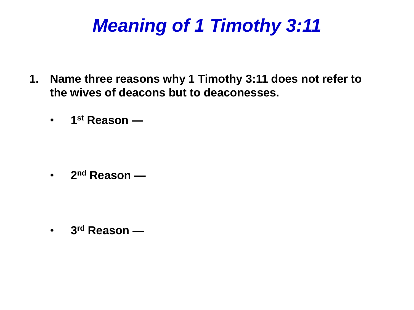# *Meaning of 1 Timothy 3:11*

- **1. Name three reasons why 1 Timothy 3:11 does not refer to the wives of deacons but to deaconesses.**
	- **1 st Reason —**

• **2 nd Reason —**

• **3 rd Reason —**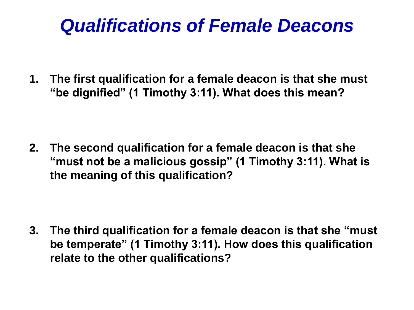# *Qualifications of Female Deacons*

**1. The first qualification for a female deacon is that she must "be dignified" (1 Timothy 3:11). What does this mean?**

**2. The second qualification for a female deacon is that she "must not be a malicious gossip" (1 Timothy 3:11). What is the meaning of this qualification?**

**3. The third qualification for a female deacon is that she "must be temperate" (1 Timothy 3:11). How does this qualification relate to the other qualifications?**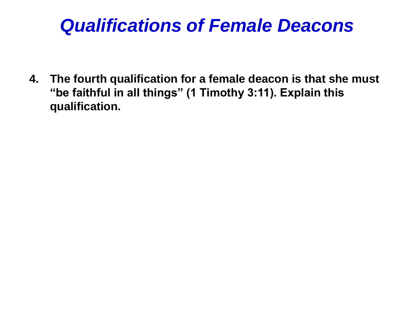# *Qualifications of Female Deacons*

**4. The fourth qualification for a female deacon is that she must "be faithful in all things" (1 Timothy 3:11). Explain this qualification.**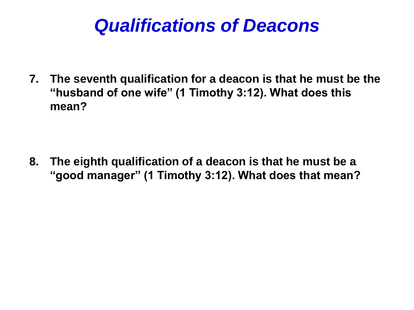#### *Qualifications of Deacons*

**7. The seventh qualification for a deacon is that he must be the "husband of one wife" (1 Timothy 3:12). What does this mean?** 

**8. The eighth qualification of a deacon is that he must be a "good manager" (1 Timothy 3:12). What does that mean?**